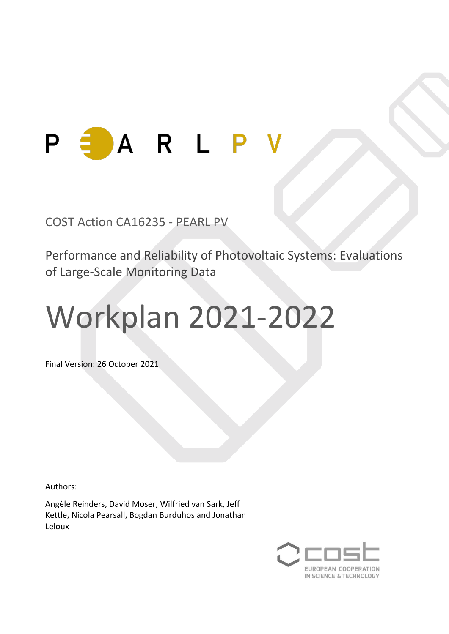# $P = A R L P$

COST Action CA16235 - PEARL PV

Performance and Reliability of Photovoltaic Systems: Evaluations of Large-Scale Monitoring Data

# Workplan 2021-2022

Final Version: 26 October 2021

Authors:

Angèle Reinders, David Moser, Wilfried van Sark, Jeff Kettle, Nicola Pearsall, Bogdan Burduhos and Jonathan Leloux

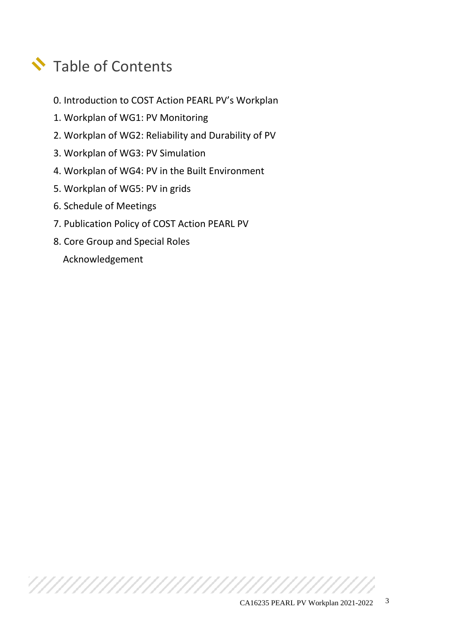# Table of Contents

- 0. Introduction to COST Action PEARL PV's Workplan
- 1. Workplan of WG1: PV Monitoring
- 2. Workplan of WG2: Reliability and Durability of PV
- 3. Workplan of WG3: PV Simulation
- 4. Workplan of WG4: PV in the Built Environment
- 5. Workplan of WG5: PV in grids
- 6. Schedule of Meetings
- 7. Publication Policy of COST Action PEARL PV
- 8. Core Group and Special Roles

ЧИНИНИНИН

Acknowledgement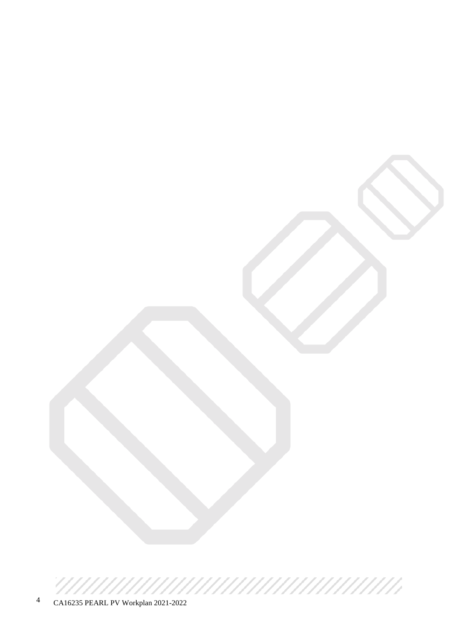

///////////////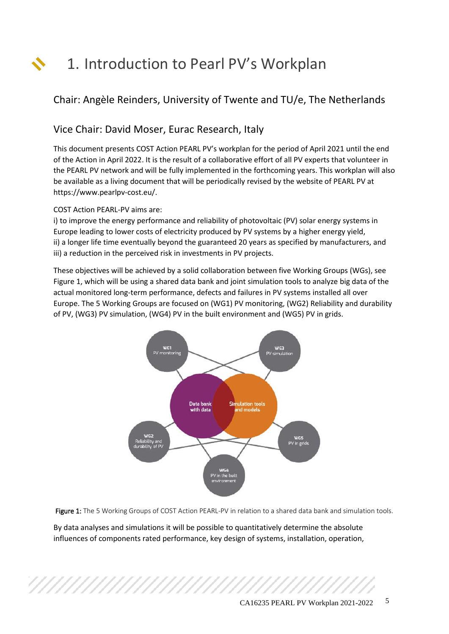### 1. Introduction to Pearl PV's Workplan

### Chair: Angèle Reinders, University of Twente and TU/e, The Netherlands

### Vice Chair: David Moser, Eurac Research, Italy

This document presents COST Action PEARL PV's workplan for the period of April 2021 until the end of the Action in April 2022. It is the result of a collaborative effort of all PV experts that volunteer in the PEARL PV network and will be fully implemented in the forthcoming years. This workplan will also be available as a living document that will be periodically revised by the website of PEARL PV at https://www.pearlpv-cost.eu/.

#### COST Action PEARL-PV aims are:

,,,,,,,,,,,,,,,,,,,,,,,,,

i) to improve the energy performance and reliability of photovoltaic (PV) solar energy systems in Europe leading to lower costs of electricity produced by PV systems by a higher energy yield, ii) a longer life time eventually beyond the guaranteed 20 years as specified by manufacturers, and iii) a reduction in the perceived risk in investments in PV projects.

These objectives will be achieved by a solid collaboration between five Working Groups (WGs), see Figure 1, which will be using a shared data bank and joint simulation tools to analyze big data of the actual monitored long-term performance, defects and failures in PV systems installed all over Europe. The 5 Working Groups are focused on (WG1) PV monitoring, (WG2) Reliability and durability of PV, (WG3) PV simulation, (WG4) PV in the built environment and (WG5) PV in grids.



Figure 1: The 5 Working Groups of COST Action PEARL-PV in relation to a shared data bank and simulation tools.

By data analyses and simulations it will be possible to quantitatively determine the absolute influences of components rated performance, key design of systems, installation, operation,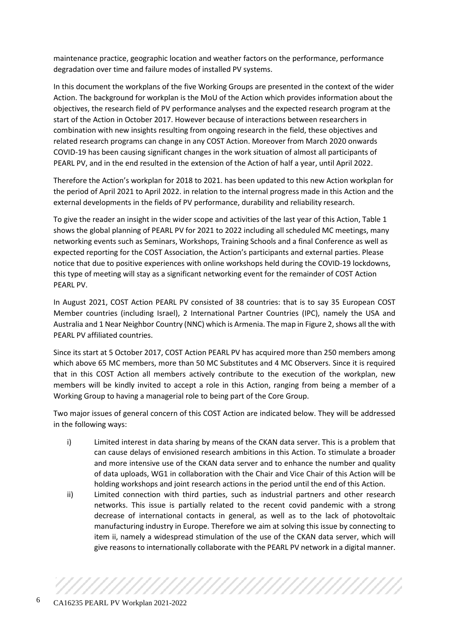maintenance practice, geographic location and weather factors on the performance, performance degradation over time and failure modes of installed PV systems.

In this document the workplans of the five Working Groups are presented in the context of the wider Action. The background for workplan is the MoU of the Action which provides information about the objectives, the research field of PV performance analyses and the expected research program at the start of the Action in October 2017. However because of interactions between researchers in combination with new insights resulting from ongoing research in the field, these objectives and related research programs can change in any COST Action. Moreover from March 2020 onwards COVID-19 has been causing significant changes in the work situation of almost all participants of PEARL PV, and in the end resulted in the extension of the Action of half a year, until April 2022.

Therefore the Action's workplan for 2018 to 2021. has been updated to this new Action workplan for the period of April 2021 to April 2022. in relation to the internal progress made in this Action and the external developments in the fields of PV performance, durability and reliability research.

To give the reader an insight in the wider scope and activities of the last year of this Action, Table 1 shows the global planning of PEARL PV for 2021 to 2022 including all scheduled MC meetings, many networking events such as Seminars, Workshops, Training Schools and a final Conference as well as expected reporting for the COST Association, the Action's participants and external parties. Please notice that due to positive experiences with online workshops held during the COVID-19 lockdowns, this type of meeting will stay as a significant networking event for the remainder of COST Action PEARL PV.

In August 2021, COST Action PEARL PV consisted of 38 countries: that is to say 35 European COST Member countries (including Israel), 2 International Partner Countries (IPC), namely the USA and Australia and 1 Near Neighbor Country (NNC) which is Armenia. The map in Figure 2, shows all the with PEARL PV affiliated countries.

Since its start at 5 October 2017, COST Action PEARL PV has acquired more than 250 members among which above 65 MC members, more than 50 MC Substitutes and 4 MC Observers. Since it is required that in this COST Action all members actively contribute to the execution of the workplan, new members will be kindly invited to accept a role in this Action, ranging from being a member of a Working Group to having a managerial role to being part of the Core Group.

Two major issues of general concern of this COST Action are indicated below. They will be addressed in the following ways:

- i) Limited interest in data sharing by means of the CKAN data server. This is a problem that can cause delays of envisioned research ambitions in this Action. To stimulate a broader and more intensive use of the CKAN data server and to enhance the number and quality of data uploads, WG1 in collaboration with the Chair and Vice Chair of this Action will be holding workshops and joint research actions in the period until the end of this Action.
- ii) Limited connection with third parties, such as industrial partners and other research networks. This issue is partially related to the recent covid pandemic with a strong decrease of international contacts in general, as well as to the lack of photovoltaic manufacturing industry in Europe. Therefore we aim at solving this issue by connecting to item ii, namely a widespread stimulation of the use of the CKAN data server, which will give reasons to internationally collaborate with the PEARL PV network in a digital manner.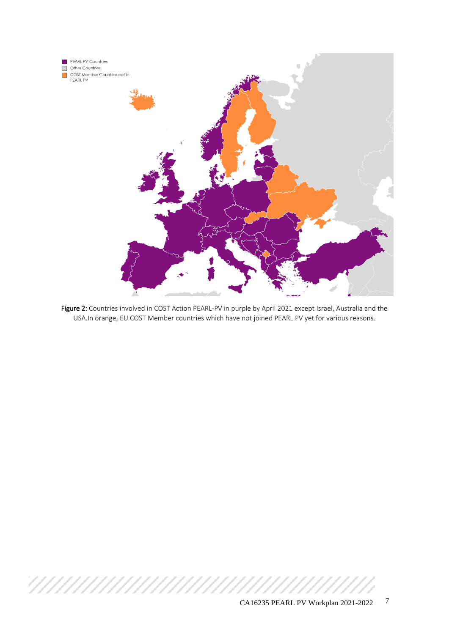

Figure 2: Countries involved in COST Action PEARL-PV in purple by April 2021 except Israel, Australia and the USA.In orange, EU COST Member countries which have not joined PEARL PV yet for various reasons.

Z.

ЧИНИНИНИИ.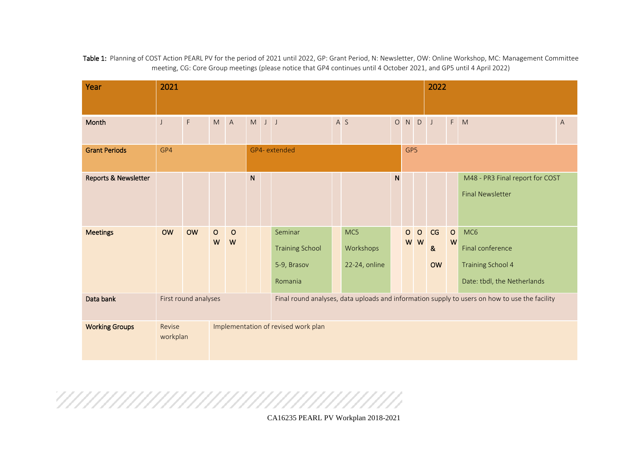Table 1: Planning of COST Action PEARL PV for the period of 2021 until 2022, GP: Grant Period, N: Newsletter, OW: Online Workshop, MC: Management Committee meeting, CG: Core Group meetings (please notice that GP4 continues until 4 October 2021, and GP5 until 4 April 2022)

| Year                                    | 2021                                                      |           |             |                                                                                               |              |  | 2022                                             |  |                            |              |              |             |                               |             |                                                                             |             |
|-----------------------------------------|-----------------------------------------------------------|-----------|-------------|-----------------------------------------------------------------------------------------------|--------------|--|--------------------------------------------------|--|----------------------------|--------------|--------------|-------------|-------------------------------|-------------|-----------------------------------------------------------------------------|-------------|
|                                         |                                                           |           |             |                                                                                               |              |  |                                                  |  |                            |              |              |             |                               |             |                                                                             |             |
| Month                                   | $\mathbf{J}$                                              | F         | $M$ $A$     |                                                                                               | M J J        |  |                                                  |  | A S                        |              |              | ONDJ        |                               |             | $F$ M                                                                       | $\mathsf A$ |
| <b>Grant Periods</b>                    | GP4                                                       |           |             |                                                                                               |              |  | GP4-extended                                     |  |                            |              | GP5          |             |                               |             |                                                                             |             |
| Reports & Newsletter<br><b>Meetings</b> | <b>OW</b>                                                 | <b>OW</b> | $\mathsf O$ | $\circ$                                                                                       | $\mathsf{N}$ |  | Seminar                                          |  | MC5                        | $\mathsf{N}$ | $\mathsf{o}$ | $\mathbf O$ | CG                            | $\mathbf O$ | M48 - PR3 Final report for COST<br><b>Final Newsletter</b><br>MC6           |             |
|                                         |                                                           |           | W           | W                                                                                             |              |  | <b>Training School</b><br>5-9, Brasov<br>Romania |  | Workshops<br>22-24, online |              | W            | W           | $\boldsymbol{8}$<br><b>OW</b> | W           | Final conference<br><b>Training School 4</b><br>Date: tbdl, the Netherlands |             |
| Data bank                               | First round analyses                                      |           |             | Final round analyses, data uploads and information supply to users on how to use the facility |              |  |                                                  |  |                            |              |              |             |                               |             |                                                                             |             |
| <b>Working Groups</b>                   | Implementation of revised work plan<br>Revise<br>workplan |           |             |                                                                                               |              |  |                                                  |  |                            |              |              |             |                               |             |                                                                             |             |

CA16235 PEARL PV Workplan 2018-2021

ЧИИШИНИНИНИНИНИН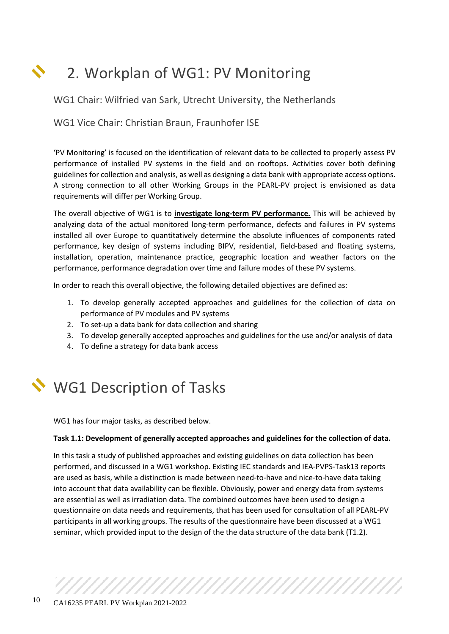### 2. Workplan of WG1: PV Monitoring

WG1 Chair: Wilfried van Sark, Utrecht University, the Netherlands

WG1 Vice Chair: Christian Braun, Fraunhofer ISE

'PV Monitoring' is focused on the identification of relevant data to be collected to properly assess PV performance of installed PV systems in the field and on rooftops. Activities cover both defining guidelines for collection and analysis, as well as designing a data bank with appropriate access options. A strong connection to all other Working Groups in the PEARL-PV project is envisioned as data requirements will differ per Working Group.

The overall objective of WG1 is to **investigate long-term PV performance.** This will be achieved by analyzing data of the actual monitored long-term performance, defects and failures in PV systems installed all over Europe to quantitatively determine the absolute influences of components rated performance, key design of systems including BIPV, residential, field-based and floating systems, installation, operation, maintenance practice, geographic location and weather factors on the performance, performance degradation over time and failure modes of these PV systems.

In order to reach this overall objective, the following detailed objectives are defined as:

- 1. To develop generally accepted approaches and guidelines for the collection of data on performance of PV modules and PV systems
- 2. To set-up a data bank for data collection and sharing
- 3. To develop generally accepted approaches and guidelines for the use and/or analysis of data
- 4. To define a strategy for data bank access

### WG1 Description of Tasks

WG1 has four major tasks, as described below.

#### **Task 1.1: Development of generally accepted approaches and guidelines for the collection of data.**

In this task a study of published approaches and existing guidelines on data collection has been performed, and discussed in a WG1 workshop. Existing IEC standards and IEA-PVPS-Task13 reports are used as basis, while a distinction is made between need-to-have and nice-to-have data taking into account that data availability can be flexible. Obviously, power and energy data from systems are essential as well as irradiation data. The combined outcomes have been used to design a questionnaire on data needs and requirements, that has been used for consultation of all PEARL-PV participants in all working groups. The results of the questionnaire have been discussed at a WG1 seminar, which provided input to the design of the the data structure of the data bank (T1.2).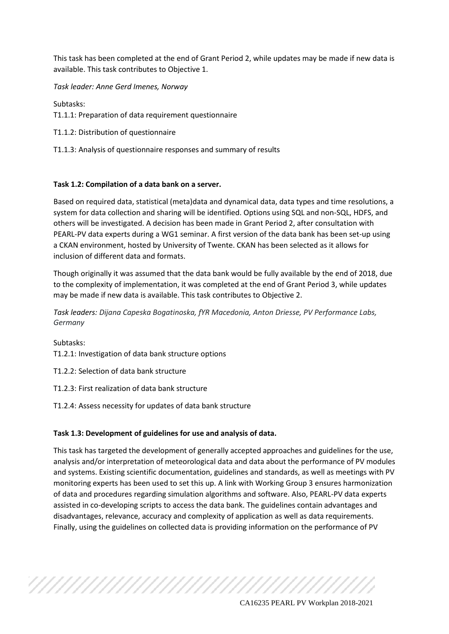This task has been completed at the end of Grant Period 2, while updates may be made if new data is available. This task contributes to Objective 1.

*Task leader: Anne Gerd Imenes, Norway*

Subtasks:

T1.1.1: Preparation of data requirement questionnaire

T1.1.2: Distribution of questionnaire

T1.1.3: Analysis of questionnaire responses and summary of results

#### **Task 1.2: Compilation of a data bank on a server.**

Based on required data, statistical (meta)data and dynamical data, data types and time resolutions, a system for data collection and sharing will be identified. Options using SQL and non-SQL, HDFS, and others will be investigated. A decision has been made in Grant Period 2, after consultation with PEARL-PV data experts during a WG1 seminar. A first version of the data bank has been set-up using a CKAN environment, hosted by University of Twente. CKAN has been selected as it allows for inclusion of different data and formats.

Though originally it was assumed that the data bank would be fully available by the end of 2018, due to the complexity of implementation, it was completed at the end of Grant Period 3, while updates may be made if new data is available. This task contributes to Objective 2.

*Task leaders: Dijana Capeska Bogatinoska, fYR Macedonia, Anton Driesse, PV Performance Labs, Germany*

Subtasks:

T1.2.1: Investigation of data bank structure options

T1.2.2: Selection of data bank structure

T1.2.3: First realization of data bank structure

T1.2.4: Assess necessity for updates of data bank structure

#### **Task 1.3: Development of guidelines for use and analysis of data.**

This task has targeted the development of generally accepted approaches and guidelines for the use, analysis and/or interpretation of meteorological data and data about the performance of PV modules and systems. Existing scientific documentation, guidelines and standards, as well as meetings with PV monitoring experts has been used to set this up. A link with Working Group 3 ensures harmonization of data and procedures regarding simulation algorithms and software. Also, PEARL-PV data experts assisted in co-developing scripts to access the data bank. The guidelines contain advantages and disadvantages, relevance, accuracy and complexity of application as well as data requirements. Finally, using the guidelines on collected data is providing information on the performance of PV

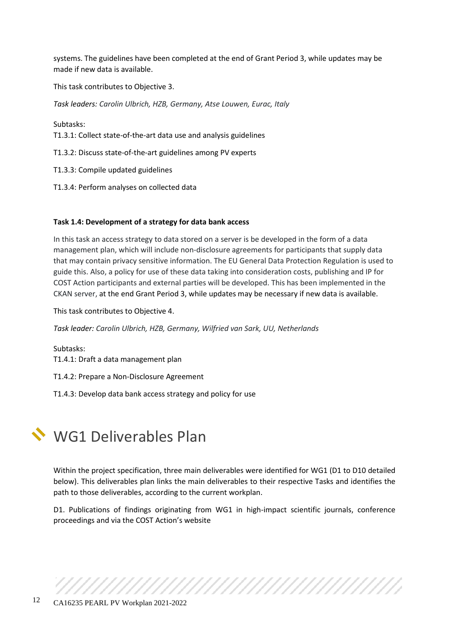systems. The guidelines have been completed at the end of Grant Period 3, while updates may be made if new data is available.

This task contributes to Objective 3.

*Task leaders: Carolin Ulbrich, HZB, Germany, Atse Louwen, Eurac, Italy*

Subtasks:

- T1.3.1: Collect state-of-the-art data use and analysis guidelines
- T1.3.2: Discuss state-of-the-art guidelines among PV experts
- T1.3.3: Compile updated guidelines
- T1.3.4: Perform analyses on collected data

#### **Task 1.4: Development of a strategy for data bank access**

In this task an access strategy to data stored on a server is be developed in the form of a data management plan, which will include non-disclosure agreements for participants that supply data that may contain privacy sensitive information. The EU General Data Protection Regulation is used to guide this. Also, a policy for use of these data taking into consideration costs, publishing and IP for COST Action participants and external parties will be developed. This has been implemented in the CKAN server, at the end Grant Period 3, while updates may be necessary if new data is available.

This task contributes to Objective 4.

*Task leader: Carolin Ulbrich, HZB, Germany, Wilfried van Sark, UU, Netherlands*

Subtasks: T1.4.1: Draft a data management plan

T1.4.2: Prepare a Non-Disclosure Agreement

T1.4.3: Develop data bank access strategy and policy for use

### WG1 Deliverables Plan

Within the project specification, three main deliverables were identified for WG1 (D1 to D10 detailed below). This deliverables plan links the main deliverables to their respective Tasks and identifies the path to those deliverables, according to the current workplan.

D1. Publications of findings originating from WG1 in high-impact scientific journals, conference proceedings and via the COST Action's website

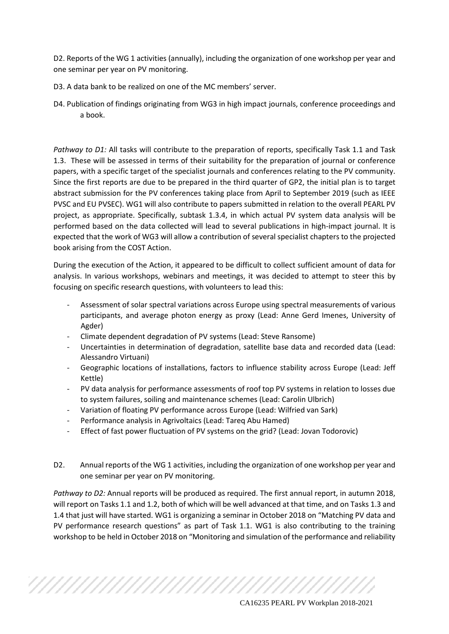D2. Reports of the WG 1 activities (annually), including the organization of one workshop per year and one seminar per year on PV monitoring.

- D3. A data bank to be realized on one of the MC members' server.
- D4. Publication of findings originating from WG3 in high impact journals, conference proceedings and a book.

*Pathway to D1:* All tasks will contribute to the preparation of reports, specifically Task 1.1 and Task 1.3. These will be assessed in terms of their suitability for the preparation of journal or conference papers, with a specific target of the specialist journals and conferences relating to the PV community. Since the first reports are due to be prepared in the third quarter of GP2, the initial plan is to target abstract submission for the PV conferences taking place from April to September 2019 (such as IEEE PVSC and EU PVSEC). WG1 will also contribute to papers submitted in relation to the overall PEARL PV project, as appropriate. Specifically, subtask 1.3.4, in which actual PV system data analysis will be performed based on the data collected will lead to several publications in high-impact journal. It is expected that the work of WG3 will allow a contribution of several specialist chapters to the projected book arising from the COST Action.

During the execution of the Action, it appeared to be difficult to collect sufficient amount of data for analysis. In various workshops, webinars and meetings, it was decided to attempt to steer this by focusing on specific research questions, with volunteers to lead this:

- Assessment of solar spectral variations across Europe using spectral measurements of various participants, and average photon energy as proxy (Lead: Anne Gerd Imenes, University of Agder)
- Climate dependent degradation of PV systems (Lead: Steve Ransome)
- Uncertainties in determination of degradation, satellite base data and recorded data (Lead: Alessandro Virtuani)
- Geographic locations of installations, factors to influence stability across Europe (Lead: Jeff Kettle)
- PV data analysis for performance assessments of roof top PV systems in relation to losses due to system failures, soiling and maintenance schemes (Lead: Carolin Ulbrich)
- Variation of floating PV performance across Europe (Lead: Wilfried van Sark)
- Performance analysis in Agrivoltaics (Lead: Tareq Abu Hamed)

,,,,,,,,,,,,,,,,,,,,,,,,,,,,,,,

- Effect of fast power fluctuation of PV systems on the grid? (Lead: Jovan Todorovic)
- D2. Annual reports of the WG 1 activities, including the organization of one workshop per year and one seminar per year on PV monitoring.

*Pathway to D2:* Annual reports will be produced as required. The first annual report, in autumn 2018, will report on Tasks 1.1 and 1.2, both of which will be well advanced at that time, and on Tasks 1.3 and 1.4 that just will have started. WG1 is organizing a seminar in October 2018 on "Matching PV data and PV performance research questions" as part of Task 1.1. WG1 is also contributing to the training workshop to be held in October 2018 on "Monitoring and simulation of the performance and reliability

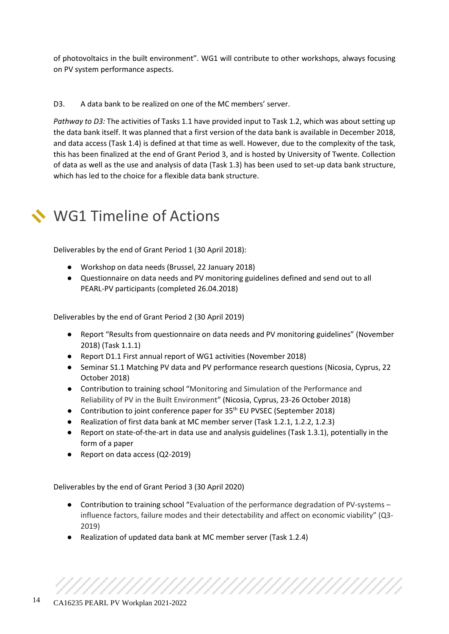of photovoltaics in the built environment". WG1 will contribute to other workshops, always focusing on PV system performance aspects.

#### D3. A data bank to be realized on one of the MC members' server.

*Pathway to D3:* The activities of Tasks 1.1 have provided input to Task 1.2, which was about setting up the data bank itself. It was planned that a first version of the data bank is available in December 2018, and data access (Task 1.4) is defined at that time as well. However, due to the complexity of the task, this has been finalized at the end of Grant Period 3, and is hosted by University of Twente. Collection of data as well as the use and analysis of data (Task 1.3) has been used to set-up data bank structure, which has led to the choice for a flexible data bank structure.

### WG1 Timeline of Actions

Deliverables by the end of Grant Period 1 (30 April 2018):

- Workshop on data needs (Brussel, 22 January 2018)
- Questionnaire on data needs and PV monitoring guidelines defined and send out to all PEARL-PV participants (completed 26.04.2018)

Deliverables by the end of Grant Period 2 (30 April 2019)

- Report "Results from questionnaire on data needs and PV monitoring guidelines" (November 2018) (Task 1.1.1)
- Report D1.1 First annual report of WG1 activities (November 2018)
- Seminar S1.1 Matching PV data and PV performance research questions (Nicosia, Cyprus, 22 October 2018)
- Contribution to training school "Monitoring and Simulation of the Performance and Reliability of PV in the Built Environment" (Nicosia, Cyprus, 23-26 October 2018)
- Contribution to joint conference paper for 35<sup>th</sup> EU PVSEC (September 2018)
- Realization of first data bank at MC member server (Task 1.2.1, 1.2.2, 1.2.3)
- Report on state-of-the-art in data use and analysis guidelines (Task 1.3.1), potentially in the form of a paper
- Report on data access (Q2-2019)

Deliverables by the end of Grant Period 3 (30 April 2020)

- Contribution to training school "Evaluation of the performance degradation of PV-systems influence factors, failure modes and their detectability and affect on economic viability" (Q3- 2019)
- Realization of updated data bank at MC member server (Task 1.2.4)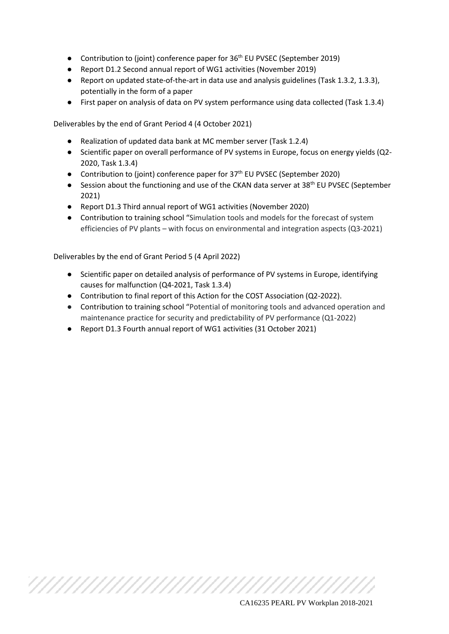- Contribution to (joint) conference paper for 36<sup>th</sup> EU PVSEC (September 2019)
- Report D1.2 Second annual report of WG1 activities (November 2019)
- Report on updated state-of-the-art in data use and analysis guidelines (Task 1.3.2, 1.3.3), potentially in the form of a paper
- First paper on analysis of data on PV system performance using data collected (Task 1.3.4)

Deliverables by the end of Grant Period 4 (4 October 2021)

- Realization of updated data bank at MC member server (Task 1.2.4)
- Scientific paper on overall performance of PV systems in Europe, focus on energy yields (Q2- 2020, Task 1.3.4)
- Contribution to (joint) conference paper for 37<sup>th</sup> EU PVSEC (September 2020)
- Session about the functioning and use of the CKAN data server at 38<sup>th</sup> EU PVSEC (September 2021)
- Report D1.3 Third annual report of WG1 activities (November 2020)
- Contribution to training school "Simulation tools and models for the forecast of system efficiencies of PV plants – with focus on environmental and integration aspects (Q3-2021)

Deliverables by the end of Grant Period 5 (4 April 2022)

YNNNNNNNNNNNNNN

- Scientific paper on detailed analysis of performance of PV systems in Europe, identifying causes for malfunction (Q4-2021, Task 1.3.4)
- Contribution to final report of this Action for the COST Association (Q2-2022).
- Contribution to training school "Potential of monitoring tools and advanced operation and maintenance practice for security and predictability of PV performance (Q1-2022)
- Report D1.3 Fourth annual report of WG1 activities (31 October 2021)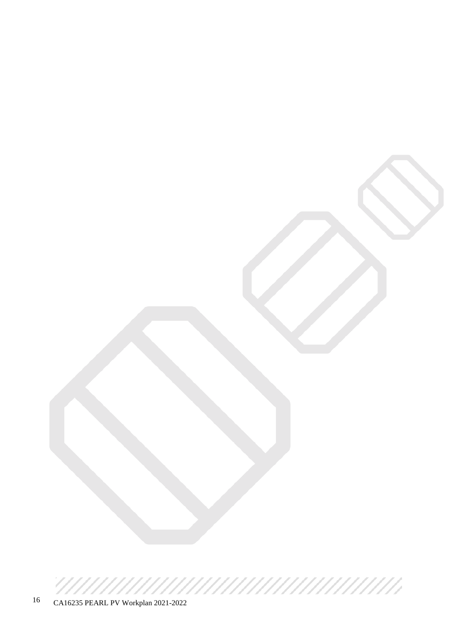

///////////////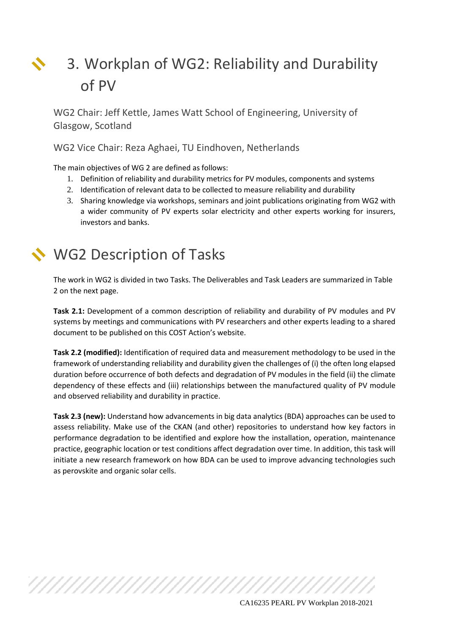## 3. Workplan of WG2: Reliability and Durability of PV

WG2 Chair: Jeff Kettle, James Watt School of Engineering, University of Glasgow, Scotland

WG2 Vice Chair: Reza Aghaei, TU Eindhoven, Netherlands

The main objectives of WG 2 are defined as follows:

- 1. Definition of reliability and durability metrics for PV modules, components and systems
- 2. Identification of relevant data to be collected to measure reliability and durability
- 3. Sharing knowledge via workshops, seminars and joint publications originating from WG2 with a wider community of PV experts solar electricity and other experts working for insurers, investors and banks.



### WG2 Description of Tasks

VIIIIIIIIIIIIIIIIIIIII

The work in WG2 is divided in two Tasks. The Deliverables and Task Leaders are summarized in Table 2 on the next page.

**Task 2.1:** Development of a common description of reliability and durability of PV modules and PV systems by meetings and communications with PV researchers and other experts leading to a shared document to be published on this COST Action's website.

**Task 2.2 (modified):** Identification of required data and measurement methodology to be used in the framework of understanding reliability and durability given the challenges of (i) the often long elapsed duration before occurrence of both defects and degradation of PV modules in the field (ii) the climate dependency of these effects and (iii) relationships between the manufactured quality of PV module and observed reliability and durability in practice.

**Task 2.3 (new):** Understand how advancements in big data analytics (BDA) approaches can be used to assess reliability. Make use of the CKAN (and other) repositories to understand how key factors in performance degradation to be identified and explore how the installation, operation, maintenance practice, geographic location or test conditions affect degradation over time. In addition, this task will initiate a new research framework on how BDA can be used to improve advancing technologies such as perovskite and organic solar cells.

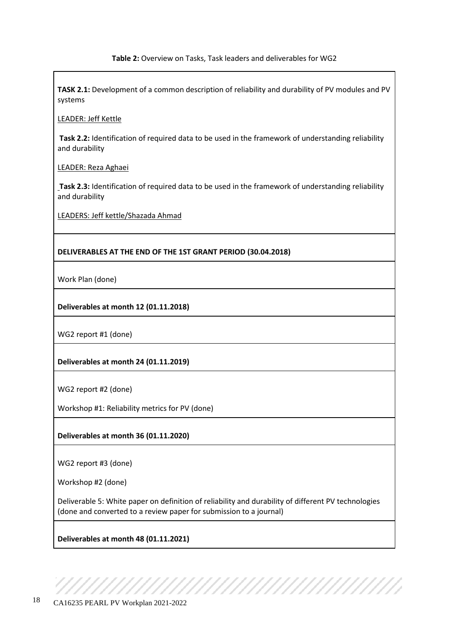#### **Table 2:** Overview on Tasks, Task leaders and deliverables for WG2

**TASK 2.1:** Development of a common description of reliability and durability of PV modules and PV systems

LEADER: Jeff Kettle

**Task 2.2:** Identification of required data to be used in the framework of understanding reliability and durability

LEADER: Reza Aghaei

**Task 2.3:** Identification of required data to be used in the framework of understanding reliability and durability

LEADERS: Jeff kettle/Shazada Ahmad

#### **DELIVERABLES AT THE END OF THE 1ST GRANT PERIOD (30.04.2018)**

Work Plan (done)

**Deliverables at month 12 (01.11.2018)**

WG2 report #1 (done)

**Deliverables at month 24 (01.11.2019)**

WG2 report #2 (done)

Workshop #1: Reliability metrics for PV (done)

**Deliverables at month 36 (01.11.2020)**

WG2 report #3 (done)

Workshop #2 (done)

Deliverable 5: White paper on definition of reliability and durability of different PV technologies (done and converted to a review paper for submission to a journal)

**Deliverables at month 48 (01.11.2021)**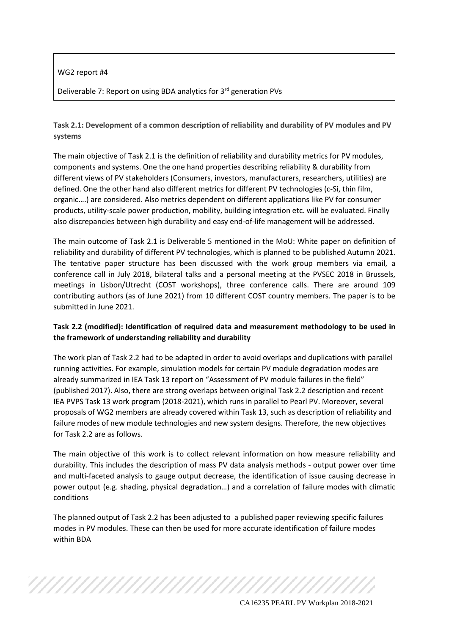WG2 report #4

Deliverable 7: Report on using BDA analytics for 3<sup>rd</sup> generation PVs

**Task 2.1: Development of a common description of reliability and durability of PV modules and PV systems**

The main objective of Task 2.1 is the definition of reliability and durability metrics for PV modules, components and systems. One the one hand properties describing reliability & durability from different views of PV stakeholders (Consumers, investors, manufacturers, researchers, utilities) are defined. One the other hand also different metrics for different PV technologies (c-Si, thin film, organic….) are considered. Also metrics dependent on different applications like PV for consumer products, utility-scale power production, mobility, building integration etc. will be evaluated. Finally also discrepancies between high durability and easy end-of-life management will be addressed.

The main outcome of Task 2.1 is Deliverable 5 mentioned in the MoU: White paper on definition of reliability and durability of different PV technologies, which is planned to be published Autumn 2021. The tentative paper structure has been discussed with the work group members via email, a conference call in July 2018, bilateral talks and a personal meeting at the PVSEC 2018 in Brussels, meetings in Lisbon/Utrecht (COST workshops), three conference calls. There are around 109 contributing authors (as of June 2021) from 10 different COST country members. The paper is to be submitted in June 2021.

#### **Task 2.2 (modified): Identification of required data and measurement methodology to be used in the framework of understanding reliability and durability**

The work plan of Task 2.2 had to be adapted in order to avoid overlaps and duplications with parallel running activities. For example, simulation models for certain PV module degradation modes are already summarized in IEA Task 13 report on "Assessment of PV module failures in the field" (published 2017). Also, there are strong overlaps between original Task 2.2 description and recent IEA PVPS Task 13 work program (2018-2021), which runs in parallel to Pearl PV. Moreover, several proposals of WG2 members are already covered within Task 13, such as description of reliability and failure modes of new module technologies and new system designs. Therefore, the new objectives for Task 2.2 are as follows.

The main objective of this work is to collect relevant information on how measure reliability and durability. This includes the description of mass PV data analysis methods - output power over time and multi-faceted analysis to gauge output decrease, the identification of issue causing decrease in power output (e.g. shading, physical degradation…) and a correlation of failure modes with climatic conditions

The planned output of Task 2.2 has been adjusted to a published paper reviewing specific failures modes in PV modules. These can then be used for more accurate identification of failure modes within BDA



CA16235 PEARL PV Workplan 2018-2021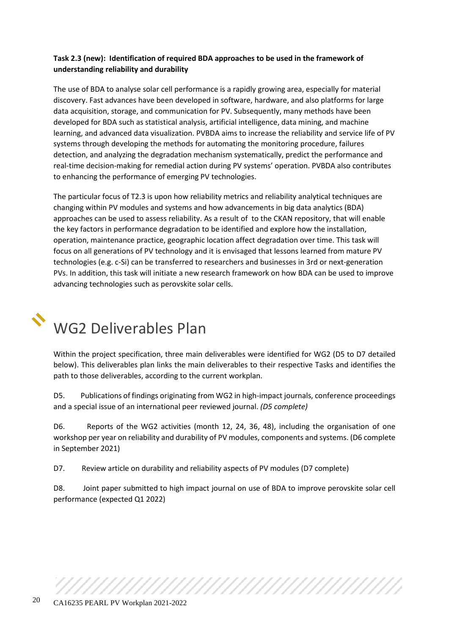#### **Task 2.3 (new): Identification of required BDA approaches to be used in the framework of understanding reliability and durability**

The use of BDA to analyse solar cell performance is a rapidly growing area, especially for material discovery. Fast advances have been developed in software, hardware, and also platforms for large data acquisition, storage, and communication for PV. Subsequently, many methods have been developed for BDA such as statistical analysis, artificial intelligence, data mining, and machine learning, and advanced data visualization. PVBDA aims to increase the reliability and service life of PV systems through developing the methods for automating the monitoring procedure, failures detection, and analyzing the degradation mechanism systematically, predict the performance and real-time decision-making for remedial action during PV systems' operation. PVBDA also contributes to enhancing the performance of emerging PV technologies.

The particular focus of T2.3 is upon how reliability metrics and reliability analytical techniques are changing within PV modules and systems and how advancements in big data analytics (BDA) approaches can be used to assess reliability. As a result of to the CKAN repository, that will enable the key factors in performance degradation to be identified and explore how the installation, operation, maintenance practice, geographic location affect degradation over time. This task will focus on all generations of PV technology and it is envisaged that lessons learned from mature PV technologies (e.g. c-Si) can be transferred to researchers and businesses in 3rd or next-generation PVs. In addition, this task will initiate a new research framework on how BDA can be used to improve advancing technologies such as perovskite solar cells.

# WG2 Deliverables Plan

Within the project specification, three main deliverables were identified for WG2 (D5 to D7 detailed below). This deliverables plan links the main deliverables to their respective Tasks and identifies the path to those deliverables, according to the current workplan.

D5. Publications of findings originating from WG2 in high-impact journals, conference proceedings and a special issue of an international peer reviewed journal. *(D5 complete)*

D6. Reports of the WG2 activities (month 12, 24, 36, 48), including the organisation of one workshop per year on reliability and durability of PV modules, components and systems. (D6 complete in September 2021)

D7. Review article on durability and reliability aspects of PV modules (D7 complete)

D8. Joint paper submitted to high impact journal on use of BDA to improve perovskite solar cell performance (expected Q1 2022)

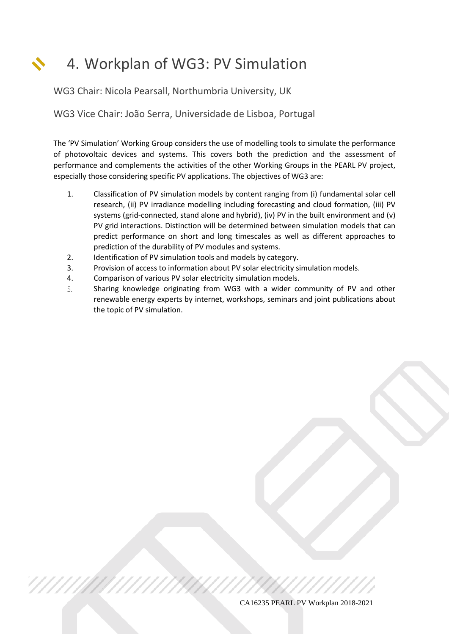### 4. Workplan of WG3: PV Simulation

WG3 Chair: Nicola Pearsall, Northumbria University, UK

WG3 Vice Chair: João Serra, Universidade de Lisboa, Portugal

The 'PV Simulation' Working Group considers the use of modelling tools to simulate the performance of photovoltaic devices and systems. This covers both the prediction and the assessment of performance and complements the activities of the other Working Groups in the PEARL PV project, especially those considering specific PV applications. The objectives of WG3 are:

- 1. Classification of PV simulation models by content ranging from (i) fundamental solar cell research, (ii) PV irradiance modelling including forecasting and cloud formation, (iii) PV systems (grid-connected, stand alone and hybrid), (iv) PV in the built environment and (v) PV grid interactions. Distinction will be determined between simulation models that can predict performance on short and long timescales as well as different approaches to prediction of the durability of PV modules and systems.
- 2. Identification of PV simulation tools and models by category.
- 3. Provision of access to information about PV solar electricity simulation models.
- 4. Comparison of various PV solar electricity simulation models.
- 5. Sharing knowledge originating from WG3 with a wider community of PV and other renewable energy experts by internet, workshops, seminars and joint publications about the topic of PV simulation.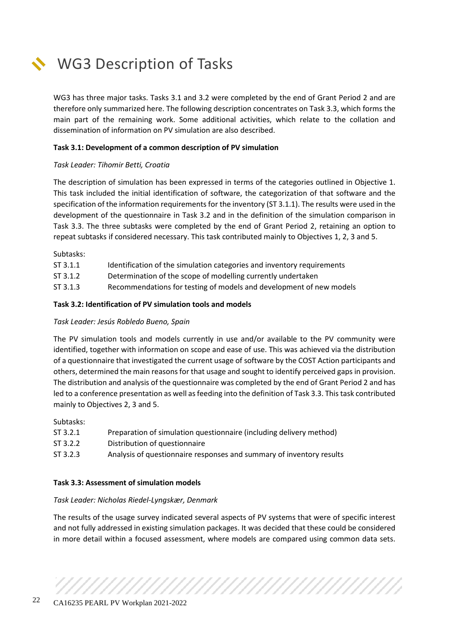

WG3 has three major tasks. Tasks 3.1 and 3.2 were completed by the end of Grant Period 2 and are therefore only summarized here. The following description concentrates on Task 3.3, which forms the main part of the remaining work. Some additional activities, which relate to the collation and dissemination of information on PV simulation are also described.

#### **Task 3.1: Development of a common description of PV simulation**

#### *Task Leader: Tihomir Betti, Croatia*

The description of simulation has been expressed in terms of the categories outlined in Objective 1. This task included the initial identification of software, the categorization of that software and the specification of the information requirements for the inventory (ST 3.1.1). The results were used in the development of the questionnaire in Task 3.2 and in the definition of the simulation comparison in Task 3.3. The three subtasks were completed by the end of Grant Period 2, retaining an option to repeat subtasks if considered necessary. This task contributed mainly to Objectives 1, 2, 3 and 5.

Subtasks:

| ST3.1.1 | Identification of the simulation categories and inventory requirements |
|---------|------------------------------------------------------------------------|
| ST3.1.2 | Determination of the scope of modelling currently undertaken           |
| ST3.1.3 | Recommendations for testing of models and development of new models    |

#### **Task 3.2: Identification of PV simulation tools and models**

#### *Task Leader: Jesús Robledo Bueno, Spain*

The PV simulation tools and models currently in use and/or available to the PV community were identified, together with information on scope and ease of use. This was achieved via the distribution of a questionnaire that investigated the current usage of software by the COST Action participants and others, determined the main reasons for that usage and sought to identify perceived gaps in provision. The distribution and analysis of the questionnaire was completed by the end of Grant Period 2 and has led to a conference presentation as well as feeding into the definition of Task 3.3. This task contributed mainly to Objectives 2, 3 and 5.

Subtasks:

| ST 3.2.1 | Preparation of simulation questionnaire (including delivery method)  |
|----------|----------------------------------------------------------------------|
| ST 3.2.2 | Distribution of questionnaire                                        |
| ST 3.2.3 | Analysis of questionnaire responses and summary of inventory results |

#### **Task 3.3: Assessment of simulation models**

#### *Task Leader: Nicholas Riedel-Lyngskær, Denmark*

The results of the usage survey indicated several aspects of PV systems that were of specific interest and not fully addressed in existing simulation packages. It was decided that these could be considered in more detail within a focused assessment, where models are compared using common data sets.

,,,,,,,,,,,,,,,,,,,,,,,,,,,,,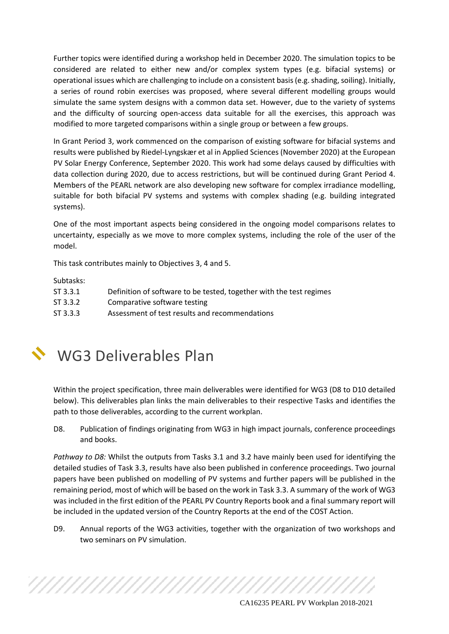Further topics were identified during a workshop held in December 2020. The simulation topics to be considered are related to either new and/or complex system types (e.g. bifacial systems) or operational issues which are challenging to include on a consistent basis (e.g. shading, soiling). Initially, a series of round robin exercises was proposed, where several different modelling groups would simulate the same system designs with a common data set. However, due to the variety of systems and the difficulty of sourcing open-access data suitable for all the exercises, this approach was modified to more targeted comparisons within a single group or between a few groups.

In Grant Period 3, work commenced on the comparison of existing software for bifacial systems and results were published by Riedel-Lyngskær et al in Applied Sciences (November 2020) at the European PV Solar Energy Conference, September 2020. This work had some delays caused by difficulties with data collection during 2020, due to access restrictions, but will be continued during Grant Period 4. Members of the PEARL network are also developing new software for complex irradiance modelling, suitable for both bifacial PV systems and systems with complex shading (e.g. building integrated systems).

One of the most important aspects being considered in the ongoing model comparisons relates to uncertainty, especially as we move to more complex systems, including the role of the user of the model.

This task contributes mainly to Objectives 3, 4 and 5.

Subtasks:

| ST 3.3.1 | Definition of software to be tested, together with the test regimes |
|----------|---------------------------------------------------------------------|
| ST 3.3.2 | Comparative software testing                                        |
| ST 3.3.3 | Assessment of test results and recommendations                      |

WG3 Deliverables Plan

Within the project specification, three main deliverables were identified for WG3 (D8 to D10 detailed below). This deliverables plan links the main deliverables to their respective Tasks and identifies the path to those deliverables, according to the current workplan.

D8. Publication of findings originating from WG3 in high impact journals, conference proceedings and books.

*Pathway to D8:* Whilst the outputs from Tasks 3.1 and 3.2 have mainly been used for identifying the detailed studies of Task 3.3, results have also been published in conference proceedings. Two journal papers have been published on modelling of PV systems and further papers will be published in the remaining period, most of which will be based on the work in Task 3.3. A summary of the work of WG3 was included in the first edition of the PEARL PV Country Reports book and a final summary report will be included in the updated version of the Country Reports at the end of the COST Action.

D9. Annual reports of the WG3 activities, together with the organization of two workshops and two seminars on PV simulation.



CA16235 PEARL PV Workplan 2018-2021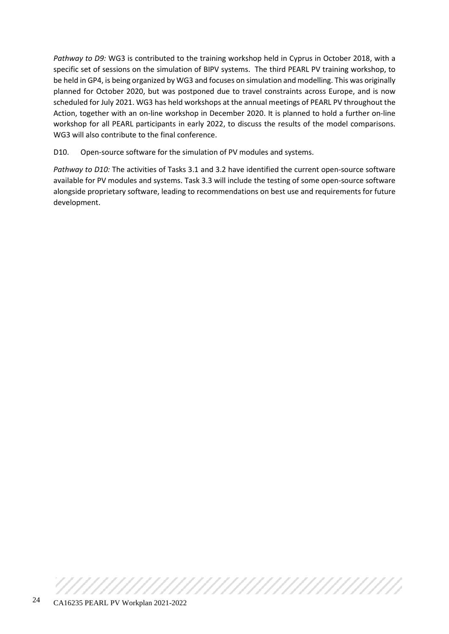*Pathway to D9:* WG3 is contributed to the training workshop held in Cyprus in October 2018, with a specific set of sessions on the simulation of BIPV systems. The third PEARL PV training workshop, to be held in GP4, is being organized by WG3 and focuses on simulation and modelling. This was originally planned for October 2020, but was postponed due to travel constraints across Europe, and is now scheduled for July 2021. WG3 has held workshops at the annual meetings of PEARL PV throughout the Action, together with an on-line workshop in December 2020. It is planned to hold a further on-line workshop for all PEARL participants in early 2022, to discuss the results of the model comparisons. WG3 will also contribute to the final conference.

D10. Open-source software for the simulation of PV modules and systems.

*Pathway to D10:* The activities of Tasks 3.1 and 3.2 have identified the current open-source software available for PV modules and systems. Task 3.3 will include the testing of some open-source software alongside proprietary software, leading to recommendations on best use and requirements for future development.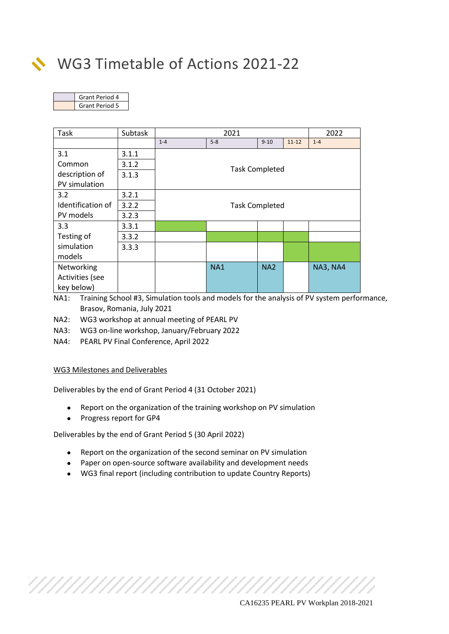### WG3 Timetable of Actions 2021-22

| Grant Period 4        |
|-----------------------|
| <b>Grant Period 5</b> |

| Task                       | Subtask |                       | 2022  |            |           |          |  |  |
|----------------------------|---------|-----------------------|-------|------------|-----------|----------|--|--|
|                            |         | $1 - 4$               | $5-8$ | $9 - 10$   | $11 - 12$ | $1 - 4$  |  |  |
| 3.1                        | 3.1.1   |                       |       |            |           |          |  |  |
| Common<br>3.1.2            |         | <b>Task Completed</b> |       |            |           |          |  |  |
| description of<br>3.1.3    |         |                       |       |            |           |          |  |  |
| PV simulation              |         |                       |       |            |           |          |  |  |
| 3.2                        | 3.2.1   |                       |       |            |           |          |  |  |
| Identification of<br>3.2.2 |         | <b>Task Completed</b> |       |            |           |          |  |  |
| PV models                  | 3.2.3   |                       |       |            |           |          |  |  |
| 3.3                        | 3.3.1   |                       |       |            |           |          |  |  |
| Testing of                 | 3.3.2   |                       |       |            |           |          |  |  |
| simulation                 | 3.3.3   |                       |       |            |           |          |  |  |
| models                     |         |                       |       |            |           |          |  |  |
| Networking                 |         |                       | NA1   | <b>NA2</b> |           | NA3, NA4 |  |  |
| Activities (see            |         |                       |       |            |           |          |  |  |
| key below)                 |         |                       |       |            |           |          |  |  |

NA1: Training School #3, Simulation tools and models for the analysis of PV system performance, Brasov, Romania, July 2021

- NA2: WG3 workshop at annual meeting of PEARL PV
- NA3: WG3 on-line workshop, January/February 2022
- NA4: PEARL PV Final Conference, April 2022

#### WG3 Milestones and Deliverables

Deliverables by the end of Grant Period 4 (31 October 2021)

- Report on the organization of the training workshop on PV simulation
- Progress report for GP4

Deliverables by the end of Grant Period 5 (30 April 2022)

ЧИНИНИНИН

- Report on the organization of the second seminar on PV simulation
- Paper on open-source software availability and development needs
- WG3 final report (including contribution to update Country Reports)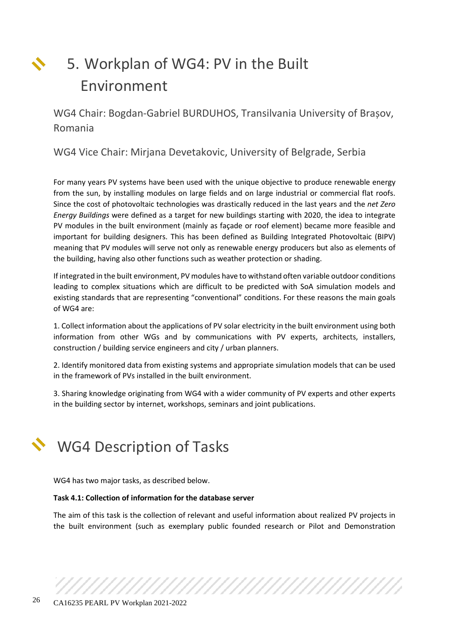

## 5. Workplan of WG4: PV in the Built Environment

WG4 Chair: Bogdan-Gabriel BURDUHOS, Transilvania University of Brașov, Romania

WG4 Vice Chair: Mirjana Devetakovic, University of Belgrade, Serbia

For many years PV systems have been used with the unique objective to produce renewable energy from the sun, by installing modules on large fields and on large industrial or commercial flat roofs. Since the cost of photovoltaic technologies was drastically reduced in the last years and the *net Zero Energy Buildings* were defined as a target for new buildings starting with 2020, the idea to integrate PV modules in the built environment (mainly as façade or roof element) became more feasible and important for building designers. This has been defined as Building Integrated Photovoltaic (BIPV) meaning that PV modules will serve not only as renewable energy producers but also as elements of the building, having also other functions such as weather protection or shading.

If integrated in the built environment, PV modules have to withstand often variable outdoor conditions leading to complex situations which are difficult to be predicted with SoA simulation models and existing standards that are representing "conventional" conditions. For these reasons the main goals of WG4 are:

1. Collect information about the applications of PV solar electricity in the built environment using both information from other WGs and by communications with PV experts, architects, installers, construction / building service engineers and city / urban planners.

2. Identify monitored data from existing systems and appropriate simulation models that can be used in the framework of PVs installed in the built environment.

3. Sharing knowledge originating from WG4 with a wider community of PV experts and other experts in the building sector by internet, workshops, seminars and joint publications.



WG4 has two major tasks, as described below.

#### **Task 4.1: Collection of information for the database server**

The aim of this task is the collection of relevant and useful information about realized PV projects in the built environment (such as exemplary public founded research or Pilot and Demonstration

,,,,,,,,,,,,,,,,,,,,,,,,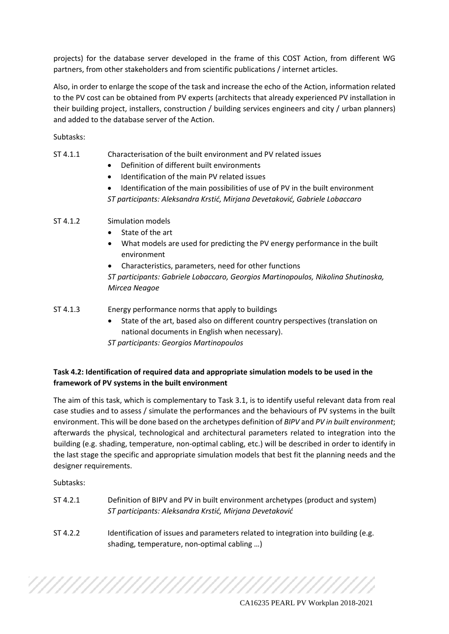projects) for the database server developed in the frame of this COST Action, from different WG partners, from other stakeholders and from scientific publications / internet articles.

Also, in order to enlarge the scope of the task and increase the echo of the Action, information related to the PV cost can be obtained from PV experts (architects that already experienced PV installation in their building project, installers, construction / building services engineers and city / urban planners) and added to the database server of the Action.

Subtasks:

- ST 4.1.1 Characterisation of the built environment and PV related issues
	- Definition of different built environments
	- Identification of the main PV related issues
	- Identification of the main possibilities of use of PV in the built environment *ST participants: Aleksandra Krstić, Mirjana Devetaković, Gabriele Lobaccaro*
- ST 4.1.2 Simulation models
	- State of the art
	- What models are used for predicting the PV energy performance in the built environment
	- Characteristics, parameters, need for other functions *ST participants: Gabriele Lobaccaro, Georgios Martinopoulos, Nikolina Shutinoska, Mircea Neagoe*
- ST 4.1.3 Energy performance norms that apply to buildings

ЧИНИНИНИНИН

- State of the art, based also on different country perspectives (translation on national documents in English when necessary).
- *ST participants: Georgios Martinopoulos*

#### **Task 4.2: Identification of required data and appropriate simulation models to be used in the framework of PV systems in the built environment**

The aim of this task, which is complementary to Task 3.1, is to identify useful relevant data from real case studies and to assess / simulate the performances and the behaviours of PV systems in the built environment. This will be done based on the archetypes definition of *BIPV* and *PV in built environment*; afterwards the physical, technological and architectural parameters related to integration into the building (e.g. shading, temperature, non-optimal cabling, etc.) will be described in order to identify in the last stage the specific and appropriate simulation models that best fit the planning needs and the designer requirements.

Subtasks:

- ST 4.2.1 Definition of BIPV and PV in built environment archetypes (product and system) *ST participants: Aleksandra Krstić, Mirjana Devetaković*
- ST 4.2.2 Identification of issues and parameters related to integration into building (e.g. shading, temperature, non-optimal cabling …)

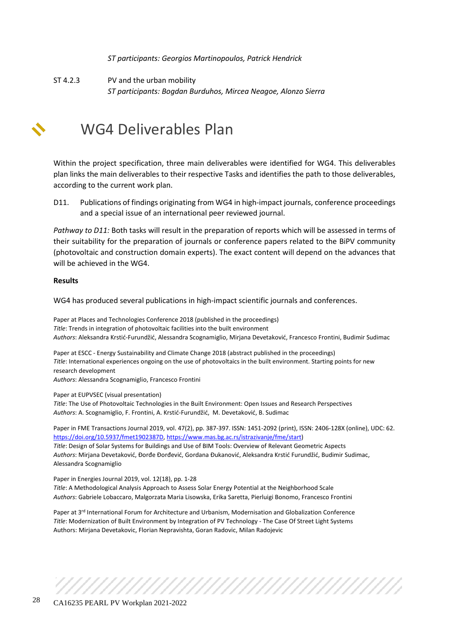*ST participants: Georgios Martinopoulos, Patrick Hendrick*

ST 4.2.3 PV and the urban mobility *ST participants: Bogdan Burduhos, Mircea Neagoe, Alonzo Sierra*



Within the project specification, three main deliverables were identified for WG4. This deliverables plan links the main deliverables to their respective Tasks and identifies the path to those deliverables, according to the current work plan.

D11. Publications of findings originating from WG4 in high-impact journals, conference proceedings and a special issue of an international peer reviewed journal.

*Pathway to D11:* Both tasks will result in the preparation of reports which will be assessed in terms of their suitability for the preparation of journals or conference papers related to the BiPV community (photovoltaic and construction domain experts). The exact content will depend on the advances that will be achieved in the WG4.

#### **Results**

WG4 has produced several publications in high-impact scientific journals and conferences.

Paper at Places and Technologies Conference 2018 (published in the proceedings) *Title*: Trends in integration of photovoltaic facilities into the built environment *Authors*: Aleksandra Krstić-Furundžić, Alessandra Scognamiglio, Mirjana Devetaković, Francesco Frontini, Budimir Sudimac

Paper at ESCC - Energy Sustainability and Climate Change 2018 (abstract published in the proceedings) *Title*: International experiences ongoing on the use of photovoltaics in the built environment. Starting points for new research development

*Authors*: Alessandra Scognamiglio, Francesco Frontini

Paper at EUPVSEC (visual presentation)

*Title*: The Use of Photovoltaic Technologies in the Built Environment: Open Issues and Research Perspectives *Authors*: A. Scognamiglio, F. Frontini, A. Krstić-Furundžić, M. Devetaković, B. Sudimac

Paper in FME Transactions Journal 2019, vol. 47(2), pp. 387-397. ISSN: 1451-2092 (print), ISSN: 2406-128X (online), UDC: 62. [https://doi.org/10.5937/fmet1902387D,](https://doi.org/10.5937/fmet1902387D) [https://www.mas.bg.ac.rs/istrazivanje/fme/start\)](https://www.mas.bg.ac.rs/istrazivanje/fme/start) *Title*: Design of Solar Systems for Buildings and Use of BIM Tools: Overview of Relevant Geometric Aspects *Authors*: Mirjana Devetaković, Đorđe Đorđević, Gordana Đukanović, Aleksandra Krstić Furundžić, Budimir Sudimac, Alessandra Scognamiglio

,,,,,,,,,,,,,,,,,,,,,,,,,,,

Paper in Energies Journal 2019, vol. 12(18), pp. 1-28

*Title*: A Methodological Analysis Approach to Assess Solar Energy Potential at the Neighborhood Scale *Authors*: Gabriele Lobaccaro, Malgorzata Maria Lisowska, Erika Saretta, Pierluigi Bonomo, Francesco Frontini

Paper at 3<sup>rd</sup> International Forum for Architecture and Urbanism, Modernisation and Globalization Conference *Title*: Modernization of Built Environment by Integration of PV Technology - The Case Of Street Light Systems Authors: Mirjana Devetakovic, Florian Nepravishta, Goran Radovic, Milan Radojevic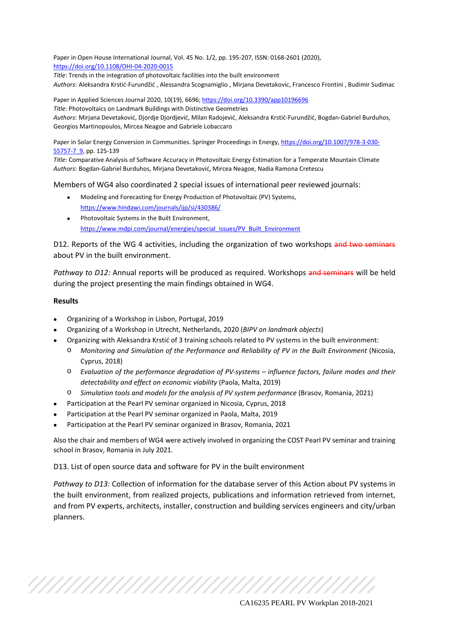Paper in Open House International Journal, Vol. 45 No. 1/2, pp. 195-207, ISSN: 0168-2601 (2020), <https://doi.org/10.1108/OHI-04-2020-0015>

*Title*: Trends in the integration of photovoltaic facilities into the built environment *Authors*: Aleksandra Krstić-Furundžić , Alessandra Scognamiglio , Mirjana Devetakovic, Francesco Frontini , Budimir Sudimac

Paper in Applied Sciences Journal 2020, 10(19), 6696[; https://doi.org/10.3390/app10196696](https://doi.org/10.3390/app10196696)

*Title*: Photovoltaics on Landmark Buildings with Distinctive Geometries

*Authors*: Mirjana Devetaković, Djordje Djordjević, Milan Radojević, Aleksandra Krstić-Furundžić, Bogdan-Gabriel Burduhos, Georgios Martinopoulos, Mircea Neagoe and Gabriele Lobaccaro

Paper in Solar Energy Conversion in Communities. Springer Proceedings in Energy[, https://doi.org/10.1007/978-3-030-](https://doi.org/10.1007/978-3-030-55757-7_9) [55757-7\\_9,](https://doi.org/10.1007/978-3-030-55757-7_9) pp. 125-139

*Title*: Comparative Analysis of Software Accuracy in Photovoltaic Energy Estimation for a Temperate Mountain Climate *Authors*: Bogdan-Gabriel Burduhos, Mirjana Devetaković, Mircea Neagoe, Nadia Ramona Cretescu

Members of WG4 also coordinated 2 special issues of international peer reviewed journals:

- Modeling and Forecasting for Energy Production of Photovoltaic (PV) Systems, <https://www.hindawi.com/journals/ijp/si/430386/>
- Photovoltaic Systems in the Built Environment, [https://www.mdpi.com/journal/energies/special\\_issues/PV\\_Built\\_Environment](https://www.mdpi.com/journal/energies/special_issues/PV_Built_Environment)

D12. Reports of the WG 4 activities, including the organization of two workshops and two seminars about PV in the built environment.

*Pathway to D12:* Annual reports will be produced as required. Workshops and seminars will be held during the project presenting the main findings obtained in WG4.

#### **Results**

- Organizing of a Workshop in Lisbon, Portugal, 2019
- Organizing of a Workshop in Utrecht, Netherlands, 2020 (*BIPV on landmark objects*)
- Organizing with Aleksandra Krstić of 3 training schools related to PV systems in the built environment:
	- o *Monitoring and Simulation of the Performance and Reliability of PV in the Built Environment* (Nicosia, Cyprus, 2018)
	- o *Evaluation of the performance degradation of PV-systems – influence factors, failure modes and their detectability and effect on economic viability* (Paola, Malta, 2019)
	- o *Simulation tools and models for the analysis of PV system performance* (Brasov, Romania, 2021)
- Participation at the Pearl PV seminar organized in Nicosia, Cyprus, 2018
- Participation at the Pearl PV seminar organized in Paola, Malta, 2019

ЧИНИНИНИНИНИ

• Participation at the Pearl PV seminar organized in Brasov, Romania, 2021

Also the chair and members of WG4 were actively involved in organizing the COST Pearl PV seminar and training school in Brasov, Romania in July 2021.

D13. List of open source data and software for PV in the built environment

*Pathway to D13:* Collection of information for the database server of this Action about PV systems in the built environment, from realized projects, publications and information retrieved from internet, and from PV experts, architects, installer, construction and building services engineers and city/urban planners.

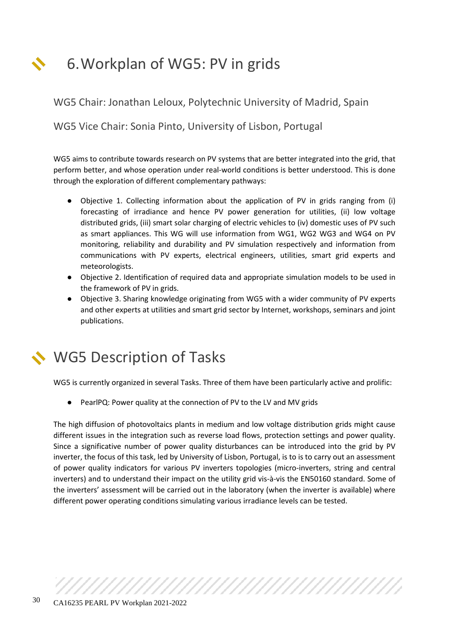### 6.Workplan of WG5: PV in grids

WG5 Chair: Jonathan Leloux, Polytechnic University of Madrid, Spain

WG5 Vice Chair: Sonia Pinto, University of Lisbon, Portugal

WG5 aims to contribute towards research on PV systems that are better integrated into the grid, that perform better, and whose operation under real-world conditions is better understood. This is done through the exploration of different complementary pathways:

- Objective 1. Collecting information about the application of PV in grids ranging from (i) forecasting of irradiance and hence PV power generation for utilities, (ii) low voltage distributed grids, (iii) smart solar charging of electric vehicles to (iv) domestic uses of PV such as smart appliances. This WG will use information from WG1, WG2 WG3 and WG4 on PV monitoring, reliability and durability and PV simulation respectively and information from communications with PV experts, electrical engineers, utilities, smart grid experts and meteorologists.
- Objective 2. Identification of required data and appropriate simulation models to be used in the framework of PV in grids.
- Objective 3. Sharing knowledge originating from WG5 with a wider community of PV experts and other experts at utilities and smart grid sector by Internet, workshops, seminars and joint publications.

### WG5 Description of Tasks

WG5 is currently organized in several Tasks. Three of them have been particularly active and prolific:

● PearlPQ: Power quality at the connection of PV to the LV and MV grids

The high diffusion of photovoltaics plants in medium and low voltage distribution grids might cause different issues in the integration such as reverse load flows, protection settings and power quality. Since a significative number of power quality disturbances can be introduced into the grid by PV inverter, the focus of this task, led by University of Lisbon, Portugal, is to is to carry out an assessment of power quality indicators for various PV inverters topologies (micro-inverters, string and central inverters) and to understand their impact on the utility grid vis-à-vis the EN50160 standard. Some of the inverters' assessment will be carried out in the laboratory (when the inverter is available) where different power operating conditions simulating various irradiance levels can be tested.

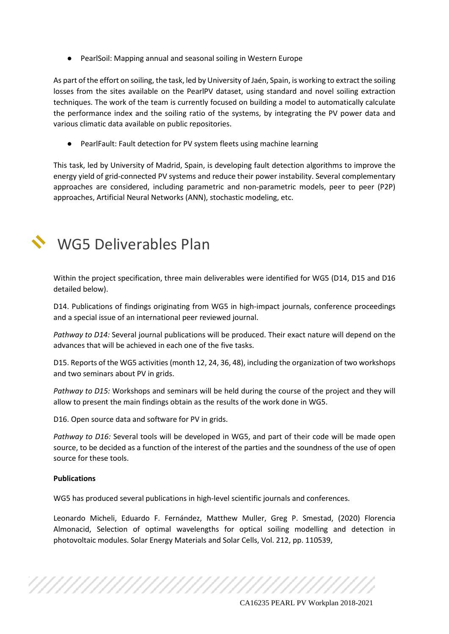● PearlSoil: Mapping annual and seasonal soiling in Western Europe

As part of the effort on soiling, the task, led by University of Jaén, Spain, is working to extract the soiling losses from the sites available on the PearlPV dataset, using standard and novel soiling extraction techniques. The work of the team is currently focused on building a model to automatically calculate the performance index and the soiling ratio of the systems, by integrating the PV power data and various climatic data available on public repositories.

● PearlFault: Fault detection for PV system fleets using machine learning

This task, led by University of Madrid, Spain, is developing fault detection algorithms to improve the energy yield of grid-connected PV systems and reduce their power instability. Several complementary approaches are considered, including parametric and non-parametric models, peer to peer (P2P) approaches, Artificial Neural Networks (ANN), stochastic modeling, etc.

### WG5 Deliverables Plan

Within the project specification, three main deliverables were identified for WG5 (D14, D15 and D16 detailed below).

D14. Publications of findings originating from WG5 in high-impact journals, conference proceedings and a special issue of an international peer reviewed journal.

*Pathway to D14:* Several journal publications will be produced. Their exact nature will depend on the advances that will be achieved in each one of the five tasks.

D15. Reports of the WG5 activities (month 12, 24, 36, 48), including the organization of two workshops and two seminars about PV in grids.

*Pathway to D15:* Workshops and seminars will be held during the course of the project and they will allow to present the main findings obtain as the results of the work done in WG5.

D16. Open source data and software for PV in grids.

,,,,,,,,,,,,,,,,,,,,,,,,,,,,,,,

*Pathway to D16:* Several tools will be developed in WG5, and part of their code will be made open source, to be decided as a function of the interest of the parties and the soundness of the use of open source for these tools.

#### **Publications**

WG5 has produced several publications in high-level scientific journals and conferences.

Leonardo Micheli, Eduardo F. Fernández, Matthew Muller, Greg P. Smestad, (2020) Florencia Almonacid, Selection of optimal wavelengths for optical soiling modelling and detection in photovoltaic modules. Solar Energy Materials and Solar Cells, Vol. 212, pp. 110539,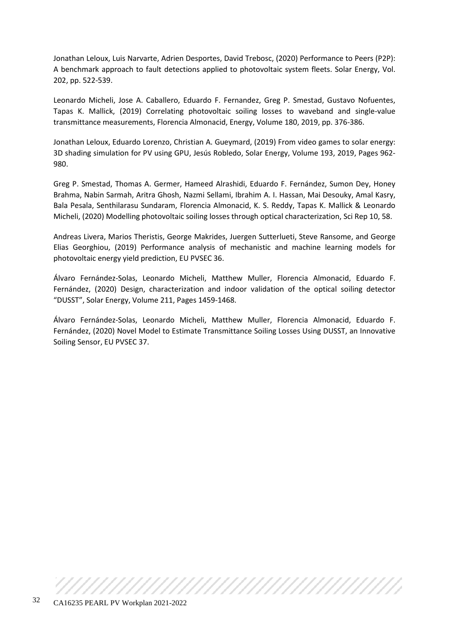Jonathan Leloux, Luis Narvarte, Adrien Desportes, David Trebosc, (2020) Performance to Peers (P2P): A benchmark approach to fault detections applied to photovoltaic system fleets. Solar Energy, Vol. 202, pp. 522-539.

Leonardo Micheli, Jose A. Caballero, Eduardo F. Fernandez, Greg P. Smestad, Gustavo Nofuentes, Tapas K. Mallick, (2019) Correlating photovoltaic soiling losses to waveband and single-value transmittance measurements, Florencia Almonacid, Energy, Volume 180, 2019, pp. 376-386.

Jonathan Leloux, Eduardo Lorenzo, Christian A. Gueymard, (2019) From video games to solar energy: 3D shading simulation for PV using GPU, Jesús Robledo, Solar Energy, Volume 193, 2019, Pages 962- 980.

Greg P. Smestad, Thomas A. Germer, Hameed Alrashidi, Eduardo F. Fernández, Sumon Dey, Honey Brahma, Nabin Sarmah, Aritra Ghosh, Nazmi Sellami, Ibrahim A. I. Hassan, Mai Desouky, Amal Kasry, Bala Pesala, Senthilarasu Sundaram, Florencia Almonacid, K. S. Reddy, Tapas K. Mallick & Leonardo Micheli, (2020) Modelling photovoltaic soiling losses through optical characterization, Sci Rep 10, 58.

Andreas Livera, Marios Theristis, George Makrides, Juergen Sutterlueti, Steve Ransome, and George Elias Georghiou, (2019) Performance analysis of mechanistic and machine learning models for photovoltaic energy yield prediction, EU PVSEC 36.

Álvaro Fernández-Solas, Leonardo Micheli, Matthew Muller, Florencia Almonacid, Eduardo F. Fernández, (2020) Design, characterization and indoor validation of the optical soiling detector "DUSST", Solar Energy, Volume 211, Pages 1459-1468.

[Álvaro Fernández-Solas,](https://www.sciencedirect.com/science/article/abs/pii/S0038092X20310860?via%3Dihub#!) [Leonardo Micheli,](https://www.sciencedirect.com/science/article/abs/pii/S0038092X20310860?via%3Dihub#!) [Matthew Muller,](https://www.sciencedirect.com/science/article/abs/pii/S0038092X20310860?via%3Dihub#!) [Florencia Almonacid,](https://www.sciencedirect.com/science/article/abs/pii/S0038092X20310860?via%3Dihub#!) [Eduardo F.](https://www.sciencedirect.com/science/article/abs/pii/S0038092X20310860?via%3Dihub#!)  [Fernández,](https://www.sciencedirect.com/science/article/abs/pii/S0038092X20310860?via%3Dihub#!) (2020) Novel Model to Estimate Transmittance Soiling Losses Using DUSST, an Innovative Soiling Sensor, EU PVSEC 37.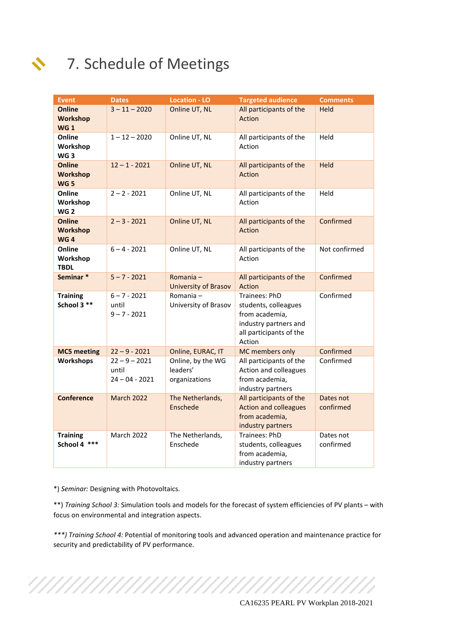#### 7. Schedule of Meetings  $\mathbf{N}$

| <b>Event</b>                                        | <b>Dates</b>                                 | <b>Location - LO</b>                           | <b>Targeted audience</b>                                                                                              | <b>Comments</b>        |
|-----------------------------------------------------|----------------------------------------------|------------------------------------------------|-----------------------------------------------------------------------------------------------------------------------|------------------------|
| <b>Online</b><br><b>Workshop</b><br><b>WG1</b>      | $3 - 11 - 2020$                              | Online UT, NL                                  | All participants of the<br>Action                                                                                     | <b>Held</b>            |
| Online<br>Workshop<br>WG <sub>3</sub>               | $1 - 12 - 2020$                              | Online UT, NL                                  | All participants of the<br>Action                                                                                     | Held                   |
| <b>Online</b><br><b>Workshop</b><br><b>WG 5</b>     | $12 - 1 - 2021$                              | Online UT, NL                                  | All participants of the<br>Action                                                                                     | <b>Held</b>            |
| Online<br>Workshop<br><b>WG 2</b>                   | $2 - 2 - 2021$                               | Online UT, NL                                  | All participants of the<br>Action                                                                                     | Held                   |
| <b>Online</b><br><b>Workshop</b><br>WG <sub>4</sub> | $2 - 3 - 2021$                               | Online UT, NL                                  | All participants of the<br>Action                                                                                     | Confirmed              |
| Online<br>Workshop<br><b>TBDL</b>                   | $6 - 4 - 2021$                               | Online UT, NL                                  | All participants of the<br>Action                                                                                     | Not confirmed          |
| Seminar <sup>*</sup>                                | $5 - 7 - 2021$                               | Romania -<br>University of Brasov              | All participants of the<br>Action                                                                                     | Confirmed              |
| <b>Training</b><br>School 3 **                      | $6 - 7 - 2021$<br>until<br>$9 - 7 - 2021$    | Romania-<br>University of Brasov               | Trainees: PhD<br>students, colleagues<br>from academia,<br>industry partners and<br>all participants of the<br>Action | Confirmed              |
| <b>MC5 meeting</b>                                  | $22 - 9 - 2021$                              | Online, EURAC, IT                              | MC members only                                                                                                       | Confirmed              |
| Workshops                                           | $22 - 9 - 2021$<br>until<br>$24 - 04 - 2021$ | Online, by the WG<br>leaders'<br>organizations | All participants of the<br>Action and colleagues<br>from academia,<br>industry partners                               | Confirmed              |
| <b>Conference</b>                                   | <b>March 2022</b>                            | The Netherlands,<br>Enschede                   | All participants of the<br><b>Action and colleagues</b><br>from academia,<br>industry partners                        | Dates not<br>confirmed |
| <b>Training</b><br>School 4 ***                     | <b>March 2022</b>                            | The Netherlands,<br>Enschede                   | Trainees: PhD<br>students, colleagues<br>from academia,<br>industry partners                                          | Dates not<br>confirmed |

\*) *Seminar:* Designing with Photovoltaics.

ЧИНИШИНИНИ

\*\*) *Training School 3:* Simulation tools and models for the forecast of system efficiencies of PV plants – with focus on environmental and integration aspects.

*\*\*\*) Training School 4:* Potential of monitoring tools and advanced operation and maintenance practice for security and predictability of PV performance.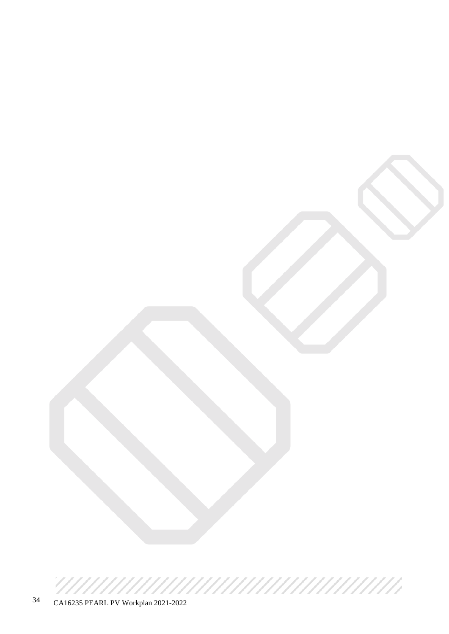

///////////////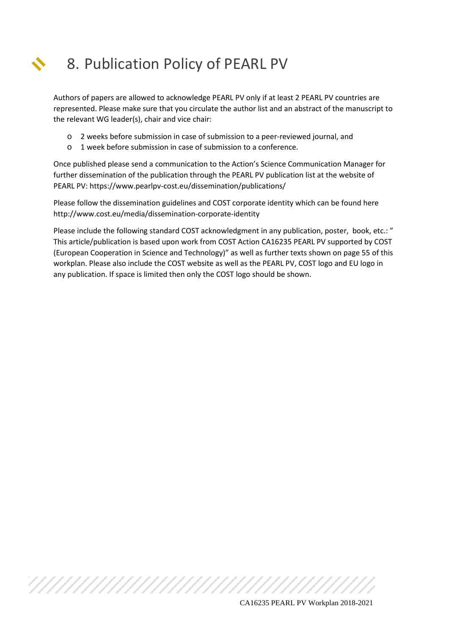## 8. Publication Policy of PEARL PV

,,,,,,,,,,,,,,,,,,,,,,,,,,,,,,

Authors of papers are allowed to acknowledge PEARL PV only if at least 2 PEARL PV countries are represented. Please make sure that you circulate the author list and an abstract of the manuscript to the relevant WG leader(s), chair and vice chair:

- o 2 weeks before submission in case of submission to a peer-reviewed journal, and
- o 1 week before submission in case of submission to a conference.

Once published please send a communication to the Action's Science Communication Manager for further dissemination of the publication through the PEARL PV publication list at the website of PEARL PV: https://www.pearlpv-cost.eu/dissemination/publications/

Please follow the dissemination guidelines and COST corporate identity which can be found here http://www.cost.eu/media/dissemination-corporate-identity

Please include the following standard COST acknowledgment in any publication, poster, book, etc.: " This article/publication is based upon work from COST Action CA16235 PEARL PV supported by COST (European Cooperation in Science and Technology)" as well as further texts shown on page 55 of this workplan. Please also include the COST website as well as the PEARL PV, COST logo and EU logo in any publication. If space is limited then only the COST logo should be shown.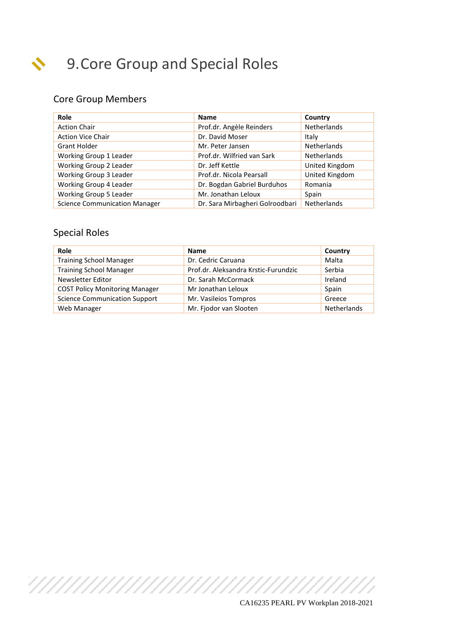### 9.Core Group and Special Roles

### Core Group Members

| <b>Role</b>                          | <b>Name</b>                     | Country            |
|--------------------------------------|---------------------------------|--------------------|
| <b>Action Chair</b>                  | Prof.dr. Angèle Reinders        | <b>Netherlands</b> |
| <b>Action Vice Chair</b>             | Dr. David Moser                 | Italy              |
| <b>Grant Holder</b>                  | Mr. Peter Jansen                | <b>Netherlands</b> |
| Working Group 1 Leader               | Prof.dr. Wilfried van Sark      | <b>Netherlands</b> |
| Working Group 2 Leader               | Dr. Jeff Kettle                 | United Kingdom     |
| Working Group 3 Leader               | Prof.dr. Nicola Pearsall        | United Kingdom     |
| Working Group 4 Leader               | Dr. Bogdan Gabriel Burduhos     | Romania            |
| Working Group 5 Leader               | Mr. Jonathan Leloux             | Spain              |
| <b>Science Communication Manager</b> | Dr. Sara Mirbagheri Golroodbari | <b>Netherlands</b> |

### Special Roles

ЧИНИНИНИН

| Role                                  | <b>Name</b>                          | Country            |
|---------------------------------------|--------------------------------------|--------------------|
| <b>Training School Manager</b>        | Dr. Cedric Caruana                   | Malta              |
| <b>Training School Manager</b>        | Prof.dr. Aleksandra Krstic-Furundzic | Serbia             |
| Newsletter Editor                     | Dr. Sarah McCormack                  | Ireland            |
| <b>COST Policy Monitoring Manager</b> | Mr Jonathan Leloux                   | Spain              |
| <b>Science Communication Support</b>  | Mr. Vasileios Tompros                | Greece             |
| Web Manager                           | Mr. Fjodor van Slooten               | <b>Netherlands</b> |

CA16235 PEARL PV Workplan 2018-2021